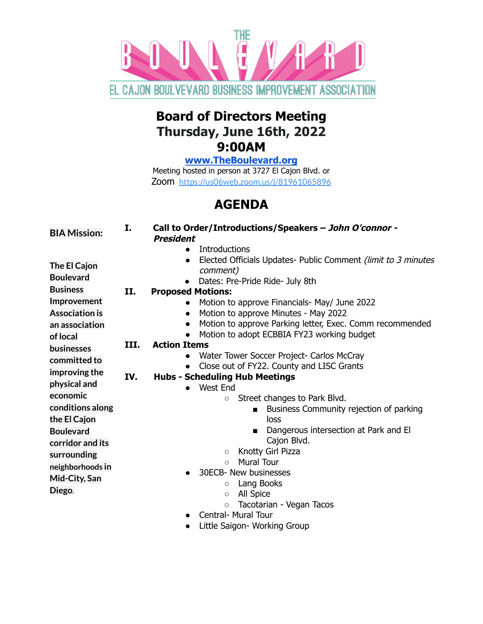

## **Board of Directors Meeting Thursday, June 16th, 2022 9:00AM**

**[www.TheBoulevard.org](http://www.theboulevard.org)**

Meeting hosted in person at 3727 El Cajon Blvd. or Zoom <https://us06web.zoom.us/j/81961065896>

## **AGENDA**

| <b>BIA Mission:</b>   | I.   | Call to Order/Introductions/Speakers - John O'connor -<br><b>President</b> |
|-----------------------|------|----------------------------------------------------------------------------|
|                       |      | Introductions                                                              |
| The El Cajon          |      | Elected Officials Updates- Public Comment (limit to 3 minutes)<br>comment) |
| <b>Boulevard</b>      |      | Dates: Pre-Pride Ride- July 8th                                            |
| <b>Business</b>       | II.  | <b>Proposed Motions:</b>                                                   |
| Improvement           |      | Motion to approve Financials- May/ June 2022                               |
| <b>Association is</b> |      | Motion to approve Minutes - May 2022<br>$\bullet$                          |
| an association        |      | Motion to approve Parking letter, Exec. Comm recommended                   |
| of local              |      | Motion to adopt ECBBIA FY23 working budget                                 |
| <b>businesses</b>     | III. | <b>Action Items</b>                                                        |
| committed to          |      | Water Tower Soccer Project- Carlos McCray                                  |
| improving the         |      | Close out of FY22. County and LISC Grants                                  |
| physical and          | IV.  | <b>Hubs - Scheduling Hub Meetings</b>                                      |
|                       |      | West End                                                                   |
| economic              |      | Street changes to Park Blvd.<br>$\circ$                                    |
| conditions along      |      | Business Community rejection of parking<br>$\blacksquare$<br>loss          |
| the El Cajon          |      | Dangerous intersection at Park and El                                      |
| <b>Boulevard</b>      |      | Cajon Blvd.                                                                |
| corridor and its      |      | Knotty Girl Pizza<br>$\circ$                                               |
| surrounding           |      | <b>Mural Tour</b><br>$\circ$                                               |
| neighborhoods in      |      | 30ECB- New businesses                                                      |
| Mid-City, San         |      | Lang Books<br>$\circ$                                                      |
| Diego.                |      | All Spice<br>$\circ$                                                       |
|                       |      | Tacotarian - Vegan Tacos<br>$\circ$                                        |
|                       |      | <b>Central- Mural Tour</b><br>$\bullet$                                    |

● Little Saigon- Working Group